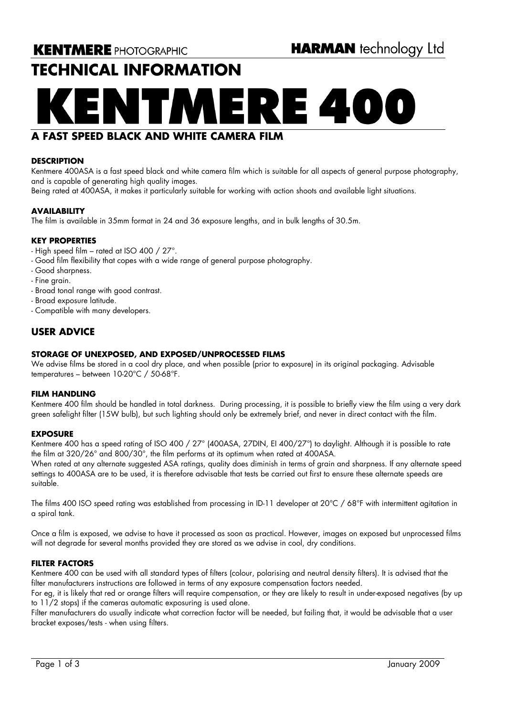# **TECHNICAL INFORMATION**

# **A FAST SPEED BLACK AND WHITE CAMERA FILM**

### **DESCRIPTION**

Kentmere 400ASA is a fast speed black and white camera film which is suitable for all aspects of general purpose photography, and is capable of generating high quality images.

Being rated at 400ASA, it makes it particularly suitable for working with action shoots and available light situations.

### **AVAILABILITY**

The film is available in 35mm format in 24 and 36 exposure lengths, and in bulk lengths of 30.5m.

### **KEY PROPERTIES**

- High speed film rated at ISO 400 / 27°.
- Good film flexibility that copes with a wide range of general purpose photography.
- Good sharpness.
- Fine grain.
- Broad tonal range with good contrast.
- Broad exposure latitude.
- Compatible with many developers.

## **USER ADVICE**

### **STORAGE OF UNEXPOSED, AND EXPOSED/UNPROCESSED FILMS**

We advise films be stored in a cool dry place, and when possible (prior to exposure) in its original packaging. Advisable temperatures – between 10-20°C / 50-68°F.

### **FILM HANDLING**

Kentmere 400 film should be handled in total darkness. During processing, it is possible to briefly view the film using a very dark green safelight filter (15W bulb), but such lighting should only be extremely brief, and never in direct contact with the film.

### **EXPOSURE**

Kentmere 400 has a speed rating of ISO 400 / 27° (400ASA, 27DIN, EI 400/27°) to daylight. Although it is possible to rate the film at 320/26° and 800/30°, the film performs at its optimum when rated at 400ASA.

When rated at any alternate suggested ASA ratings, quality does diminish in terms of grain and sharpness. If any alternate speed settings to 400ASA are to be used, it is therefore advisable that tests be carried out first to ensure these alternate speeds are suitable.

The films 400 ISO speed rating was established from processing in ID-11 developer at 20°C / 68°F with intermittent agitation in a spiral tank.

Once a film is exposed, we advise to have it processed as soon as practical. However, images on exposed but unprocessed films will not degrade for several months provided they are stored as we advise in cool, dry conditions.

### **FILTER FACTORS**

Kentmere 400 can be used with all standard types of filters (colour, polarising and neutral density filters). It is advised that the filter manufacturers instructions are followed in terms of any exposure compensation factors needed.

For eg, it is likely that red or orange filters will require compensation, or they are likely to result in under-exposed negatives (by up to 11/2 stops) if the cameras automatic exposuring is used alone.

Filter manufacturers do usually indicate what correction factor will be needed, but failing that, it would be advisable that a user bracket exposes/tests - when using filters.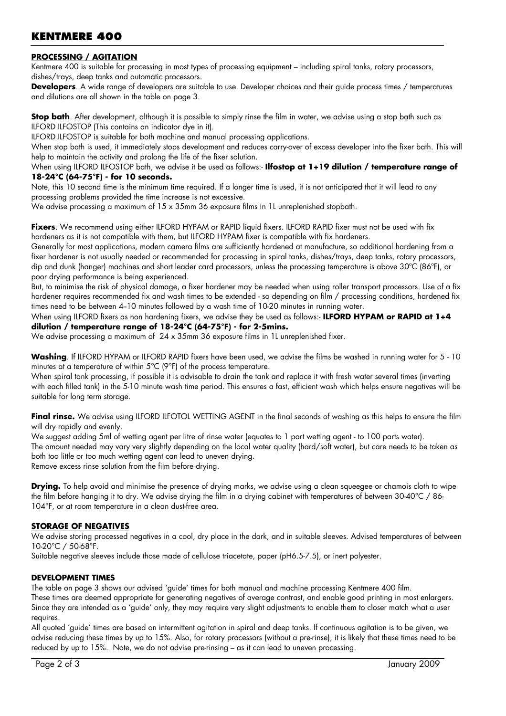# **KENTMERE 400**

### **PROCESSING / AGITATION**

Kentmere 400 is suitable for processing in most types of processing equipment – including spiral tanks, rotary processors, dishes/trays, deep tanks and automatic processors.

**Developers**. A wide range of developers are suitable to use. Developer choices and their guide process times / temperatures and dilutions are all shown in the table on page 3.

**Stop bath**. After development, although it is possible to simply rinse the film in water, we advise using a stop bath such as ILFORD ILFOSTOP (This contains an indicator dye in it).

ILFORD ILFOSTOP is suitable for both machine and manual processing applications.

When stop bath is used, it immediately stops development and reduces carry-over of excess developer into the fixer bath. This will help to maintain the activity and prolong the life of the fixer solution.

### When using ILFORD ILFOSTOP bath, we advise it be used as follows:- **Ilfostop at 1+19 dilution / temperature range of 18-24°C (64-75°F) - for 10 seconds.**

Note, this 10 second time is the minimum time required. If a longer time is used, it is not anticipated that it will lead to any processing problems provided the time increase is not excessive.

We advise processing a maximum of 15 x 35mm 36 exposure films in 1L unreplenished stopbath.

Fixers. We recommend using either ILFORD HYPAM or RAPID liquid fixers. ILFORD RAPID fixer must not be used with fix hardeners as it is not compatible with them, but ILFORD HYPAM fixer is compatible with fix hardeners.

Generally for most applications, modern camera films are sufficiently hardened at manufacture, so additional hardening from a fixer hardener is not usually needed or recommended for processing in spiral tanks, dishes/trays, deep tanks, rotary processors, dip and dunk (hanger) machines and short leader card processors, unless the processing temperature is above 30ºC (86ºF), or poor drying performance is being experienced.

But, to minimise the risk of physical damage, a fixer hardener may be needed when using roller transport processors. Use of a fix hardener requires recommended fix and wash times to be extended - so depending on film / processing conditions, hardened fix times need to be between 4-10 minutes followed by a wash time of 10-20 minutes in running water.

When using ILFORD fixers as non hardening fixers, we advise they be used as follows:- **ILFORD HYPAM or RAPID at 1+4 dilution / temperature range of 18-24°C (64-75°F) - for 2-5mins.** 

We advise processing a maximum of 24 x 35mm 36 exposure films in 1L unreplenished fixer.

**Washing**. If ILFORD HYPAM or ILFORD RAPID fixers have been used, we advise the films be washed in running water for 5 - 10 minutes at a temperature of within 5°C (9°F) of the process temperature.

When spiral tank processing, if possible it is advisable to drain the tank and replace it with fresh water several times (inverting with each filled tank) in the 5-10 minute wash time period. This ensures a fast, efficient wash which helps ensure negatives will be suitable for long term storage.

Final rinse. We advise using ILFORD ILFOTOL WETTING AGENT in the final seconds of washing as this helps to ensure the film will dry rapidly and evenly.

We suggest adding 5ml of wetting agent per litre of rinse water (equates to 1 part wetting agent - to 100 parts water). The amount needed may vary very slightly depending on the local water quality (hard/soft water), but care needs to be taken as both too little or too much wetting agent can lead to uneven drying. Remove excess rinse solution from the film before drying.

**Drying.** To help avoid and minimise the presence of drying marks, we advise using a clean squeegee or chamois cloth to wipe the film before hanging it to dry. We advise drying the film in a drying cabinet with temperatures of between 30-40°C / 86- 104°F, or at room temperature in a clean dust-free area.

### **STORAGE OF NEGATIVES**

We advise storing processed negatives in a cool, dry place in the dark, and in suitable sleeves. Advised temperatures of between 10-20°C / 50-68°F.

Suitable negative sleeves include those made of cellulose triacetate, paper (pH6.5-7.5), or inert polyester.

### **DEVELOPMENT TIMES**

The table on page 3 shows our advised 'guide' times for both manual and machine processing Kentmere 400 film. These times are deemed appropriate for generating negatives of average contrast, and enable good printing in most enlargers.

Since they are intended as a 'guide' only, they may require very slight adjustments to enable them to closer match what a user requires. All quoted 'guide' times are based on intermittent agitation in spiral and deep tanks. If continuous agitation is to be given, we

advise reducing these times by up to 15%. Also, for rotary processors (without a pre-rinse), it is likely that these times need to be reduced by up to 15%. Note, we do not advise pre-rinsing – as it can lead to uneven processing.